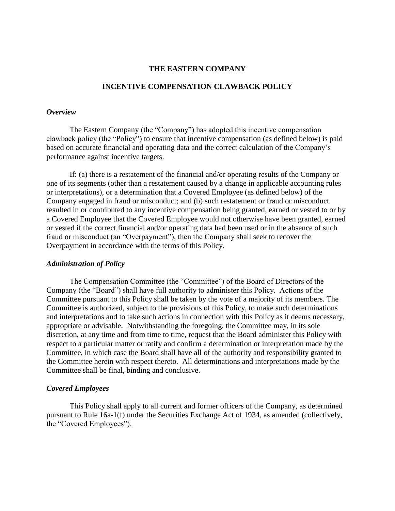#### **THE EASTERN COMPANY**

### **INCENTIVE COMPENSATION CLAWBACK POLICY**

#### *Overview*

The Eastern Company (the "Company") has adopted this incentive compensation clawback policy (the "Policy") to ensure that incentive compensation (as defined below) is paid based on accurate financial and operating data and the correct calculation of the Company's performance against incentive targets.

If: (a) there is a restatement of the financial and/or operating results of the Company or one of its segments (other than a restatement caused by a change in applicable accounting rules or interpretations), or a determination that a Covered Employee (as defined below) of the Company engaged in fraud or misconduct; and (b) such restatement or fraud or misconduct resulted in or contributed to any incentive compensation being granted, earned or vested to or by a Covered Employee that the Covered Employee would not otherwise have been granted, earned or vested if the correct financial and/or operating data had been used or in the absence of such fraud or misconduct (an "Overpayment"), then the Company shall seek to recover the Overpayment in accordance with the terms of this Policy.

#### *Administration of Policy*

The Compensation Committee (the "Committee") of the Board of Directors of the Company (the "Board") shall have full authority to administer this Policy. Actions of the Committee pursuant to this Policy shall be taken by the vote of a majority of its members. The Committee is authorized, subject to the provisions of this Policy, to make such determinations and interpretations and to take such actions in connection with this Policy as it deems necessary, appropriate or advisable. Notwithstanding the foregoing, the Committee may, in its sole discretion, at any time and from time to time, request that the Board administer this Policy with respect to a particular matter or ratify and confirm a determination or interpretation made by the Committee, in which case the Board shall have all of the authority and responsibility granted to the Committee herein with respect thereto. All determinations and interpretations made by the Committee shall be final, binding and conclusive.

# *Covered Employees*

This Policy shall apply to all current and former officers of the Company, as determined pursuant to Rule 16a-1(f) under the Securities Exchange Act of 1934, as amended (collectively, the "Covered Employees").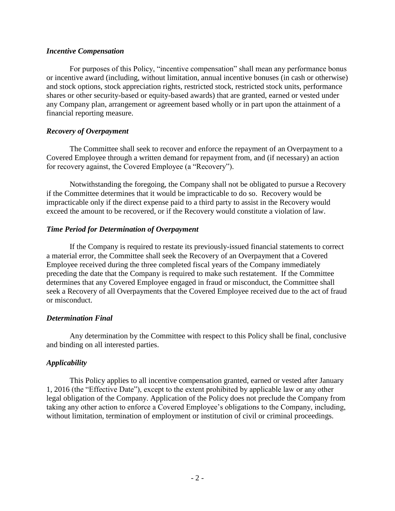#### *Incentive Compensation*

For purposes of this Policy, "incentive compensation" shall mean any performance bonus or incentive award (including, without limitation, annual incentive bonuses (in cash or otherwise) and stock options, stock appreciation rights, restricted stock, restricted stock units, performance shares or other security-based or equity-based awards) that are granted, earned or vested under any Company plan, arrangement or agreement based wholly or in part upon the attainment of a financial reporting measure.

# *Recovery of Overpayment*

The Committee shall seek to recover and enforce the repayment of an Overpayment to a Covered Employee through a written demand for repayment from, and (if necessary) an action for recovery against, the Covered Employee (a "Recovery").

Notwithstanding the foregoing, the Company shall not be obligated to pursue a Recovery if the Committee determines that it would be impracticable to do so. Recovery would be impracticable only if the direct expense paid to a third party to assist in the Recovery would exceed the amount to be recovered, or if the Recovery would constitute a violation of law.

# *Time Period for Determination of Overpayment*

If the Company is required to restate its previously-issued financial statements to correct a material error, the Committee shall seek the Recovery of an Overpayment that a Covered Employee received during the three completed fiscal years of the Company immediately preceding the date that the Company is required to make such restatement. If the Committee determines that any Covered Employee engaged in fraud or misconduct, the Committee shall seek a Recovery of all Overpayments that the Covered Employee received due to the act of fraud or misconduct.

# *Determination Final*

Any determination by the Committee with respect to this Policy shall be final, conclusive and binding on all interested parties.

# *Applicability*

This Policy applies to all incentive compensation granted, earned or vested after January 1, 2016 (the "Effective Date"), except to the extent prohibited by applicable law or any other legal obligation of the Company. Application of the Policy does not preclude the Company from taking any other action to enforce a Covered Employee's obligations to the Company, including, without limitation, termination of employment or institution of civil or criminal proceedings.